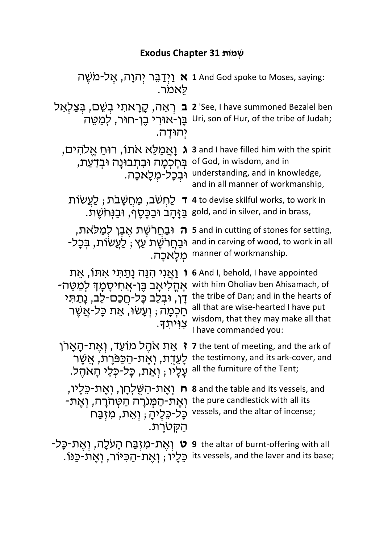## **תוֹמְשׁ 31 Chapter Exodus**

| לאמר.                                                                                                                                                                            | יִיְדַבֵּר יְהוָה, אֶל-מֹשֵׁה 1 And God spoke to Moses, saying:                                                                                                                                                                  |
|----------------------------------------------------------------------------------------------------------------------------------------------------------------------------------|----------------------------------------------------------------------------------------------------------------------------------------------------------------------------------------------------------------------------------|
| ב רְאֵה, קָרָאתִי בְּשֵׁם, בִּצַלְאֵל<br>ּבֵּן-אוּרִי בֵן-חוּר, לִמַטֵּה<br>יְהוּדָה.                                                                                            | 2 'See, I have summoned Bezalel ben<br>Uri, son of Hur, of the tribe of Judah;                                                                                                                                                   |
| ַוְאֲמַלֵּא אתו, רוּחַ אֱלֹהִים,<br>בְּחָכְמָה וּבִתְבוּנָה וּבִדַעַת,<br>וּבִכָל-מִלָאכָה.                                                                                      | 3 and I have filled him with the spirit<br>of God, in wisdom, and in<br>understanding, and in knowledge,<br>and in all manner of workmanship,                                                                                    |
| ַלַחָשׁב, מַחֲשָׁבת ; לַעֲשׂוֹת<br>ּבַּזָּהָב וּבַכֵּסֵף, וּבַנִּחֹשֵׁת.                                                                                                         | 4 to devise skilful works, to work in<br>gold, and in silver, and in brass,                                                                                                                                                      |
| וּבַחַרשֶׁת אֵבֵן לִמַּלֹּאת,<br>刀<br>ּוּבַחֲרֹשֶׁת עֵץ , לַעֲשׂוֹת, בִּכָּל-<br>מִלַאכַה.                                                                                       | 5 and in cutting of stones for setting,<br>and in carving of wood, to work in all<br>manner of workmanship.                                                                                                                      |
| <b>ו</b> וַאֲנִי הִנֵּה נַתַתִּי אִתּוֹ, אֵת<br>אָהָלִיאָב בֵּן-אֲחִיסָמָךְ לִמַטֵּה-<br>דַו, וּבִלֵב כָּל-חַכַם-לֵב, נָתַתִּי<br>ּחָכְמָה ; וְעָשׂוּ, אֵת כָּל-אֲשֶׁר<br>צויתד. | <b>6</b> And I, behold, I have appointed<br>with him Oholiav ben Ahisamach, of<br>the tribe of Dan; and in the hearts of<br>all that are wise-hearted I have put<br>wisdom, that they may make all that<br>I have commanded you: |
| אַת אהֶל מוֹעֵד, וְאֵת-הָאַרן<br>עַלַיו ; וְאֵת, כַּל-כָּלֵי הַאהֵל.                                                                                                             | 7 the tent of meeting, and the ark of<br>the testimony, and its ark-cover, and לְעֵדָת, וְאֶת-הַכַּפּרֶת, אֲשֶׁר<br>all the furniture of the Tent;                                                                               |
| וְאֶת-הַשֶּׁלְחָן, וְאֵת-כֵּלָיו,<br>ּוְאֵת-הַמְּנֹרָה הַטְהֹרָה, וְאֵת-<br>כַּל-כֶּלֵיהַ ; וְאֵת, מִזְבַּח<br>הַקָּטרֵת.                                                        | <b>8</b> and the table and its vessels, and<br>the pure candlestick with all its<br>vessels, and the altar of incense;                                                                                                           |
|                                                                                                                                                                                  | יאָת-מִזְבַּח הָעֹלֶה, וְאֵת-כָּל- ט (אַת-מִזְבַּח הָעֹלֶה, וְאֵת-כָּל- sthe altar of burnt-offering with all<br>.its vessels, and the laver and its base; כֵּלֵיוּ ; וְאֵת-הַכִּיּוֹר, וְאֵת-כַּנּוֹ                            |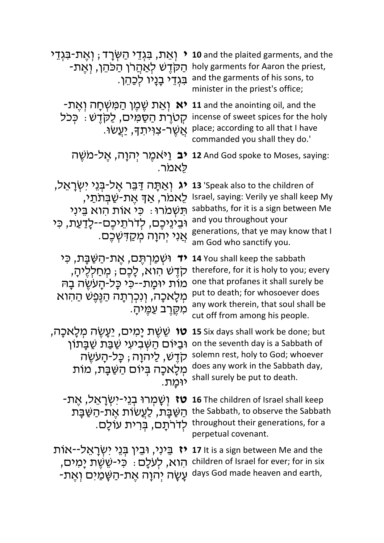n • יְאֵת, בִּגְדֵי הַשְּׂרָד ; יְאֶת-בִּגְדֵי **10** and the plaited garments, and th<br>holy garments for Aaron the priest, הַקְדֶשׁ לְאַהֲרֹן הַכֹּהֵן, יְאֶת-בְּגְדֵי בְנַיו לְכַהֵן. and the garments of his sons, to **10** and the plaited garments, and the minister in the priest's office; **-אַת שֶׁכֶּן הַמִּשְׁחָה ןְאֶת the anointing oil, and the** ּקְטְרֶת הַסַּמִים, לַקְדֶשׁ : כְּכֹל incense of sweet spices for the holy ָאֲשֶׁר-צוִיתַךְ, יַעֲשׂוּ. place; according to all that I have commanded you shall they do.' **ב יַיאמֶר יְהוָה, אֶל-משֶׁה 12** And God spoke to Moses, saying: לאמר. **יג** וְאַתָּה דַּבֵּר אֶל-בְּנֵי יִשְׂרָאֵל, לֵאמר, אַךֿ אֵת-שַׁבִּתֹתֵי, :וּרֹמְשִׁתּ יִניֵבּ אוִה תוֹא יִכּ וּבֵינֵיכֶם, לְדרֹתֵיכֶם--לַדַעֲת, כִּי <mark>ּ</mark>אֲנִי יִהְוָה מְקַדִּשְׁכֶם. **13** 'Speak also to the children of Israel, saying: Verily ye shall keep My sabbaths, for it is a sign between Me and you throughout your generations, that ye may know that I am God who sanctify you. **יד** וּשְמַרְתֵּם, אֲת-הִשִּׁבַּת, כֵּי קִדָּשׁ הוֹא, לַכֶּם ; מִחַלְלֵיהַ, ְמוֹת יוֹמֲת--כִּי כָּל-הָעֹשֶׂה בָה מְלָאכָה, וְנִכְרְתָה הַגֵּפֵשׁ הַהִוא ְמִקֶּרֶב עַמֵּיהָ. **14** You shall keep the sabbath therefore, for it is holy to you; every one that profanes it shall surely be put to death; for whosoever does any work therein, that soul shall be cut off from among his people. יָמִים, יֵעֲשֶׂה מְלָאכָה, **15** Six days shall work be done; but וֹתַ יִּבְיּוֹם הַשְּׁבִיעִי שַׁבַּת שַׁבְּתוֹן on the seventh day is a Sabbath of קֹדֶש, לַיהוַה ; כָּל-הָעִשָּׂה מְלָאכָה בְּיוֹם הַשַּׁבָּת, מוֹת יוּמת. solemn rest, holy to God; whoever does any work in the Sabbath day, shall surely be put to death. -**זַטְמְרוּ בְנֵי-יִשְׂרָאֵל, אֶת <b>-16** דו 16 **טז** (שְׁמְרוּ בְנֵי-יִשְׂרָאֵל, אֶת ַתַּשַּׁבָּת, לַעֲשׂוֹת אֶת-הַשַּׁבָּת the Sabbath, to observe the Sabbath throughout their generations, for a לְדרֹתָם, בְּרִית עוֹלָם. perpetual covenant. **זיֹת לֹּא** בֵּינִי, וּבֵין בְּנֵי יִשְׂרָאֵל--אוֹת it is a sign between Me and the ָרָמִים children of Israel for ever; for in six הוא, לְעַלָם<br>- עַשָּׂה יִהוָה אֶת-הַשָּׁמַיִּם וְאֶת days God made heaven and earth, days God made heaven and earth,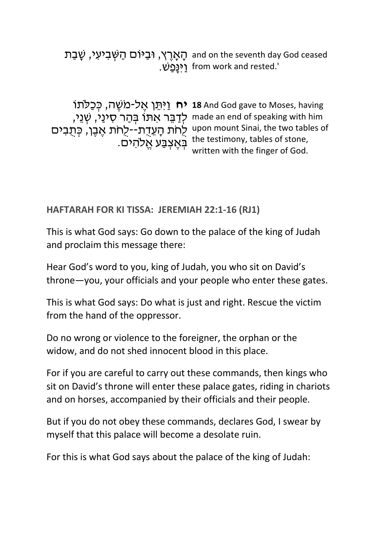ِהָצְרֶץ, וּבַיּּוֹם הַשְּׁבִיעִי, שָׁבַת and on the seventh day God ceased<br>rom work and rested.' [יִּנָּפַשׁ from work and rested.'

**יח וַי**ּתֵּן אֶל-מֹשֶׁה, כְּכַלֹּתוֹ 18 And God gave to Moses, having יִדְבֵּר אִתּוֹ בְּהַר סִינַי, שְׁנֵי, made an end of speaking with him upon mount Sinai, the two tables of לְחֹת הָעֲדָת--לְחֹת אֶבֶן, כְּתֻבִים .היס the testimony, tables of stone,<br>the fince of Cad written with the finger of God.

## **HAFTARAH FOR KI TISSA: JEREMIAH 22:1-16 (RJ1)**

This is what God says: Go down to the palace of the king of Judah and proclaim this message there:

Hear God's word to you, king of Judah, you who sit on David's throne—you, your officials and your people who enter these gates.

This is what God says: Do what is just and right. Rescue the victim from the hand of the oppressor.

Do no wrong or violence to the foreigner, the orphan or the widow, and do not shed innocent blood in this place.

For if you are careful to carry out these commands, then kings who sit on David's throne will enter these palace gates, riding in chariots and on horses, accompanied by their officials and their people.

But if you do not obey these commands, declares God, I swear by myself that this palace will become a desolate ruin.

For this is what God says about the palace of the king of Judah: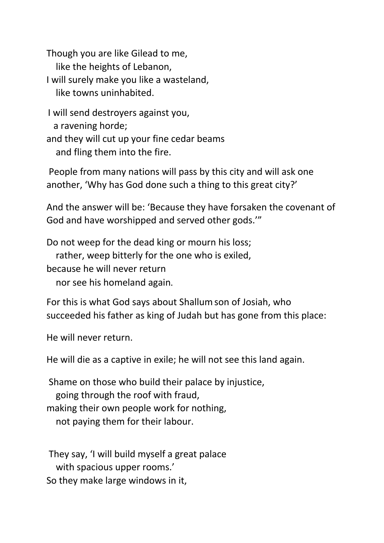Though you are like Gilead to me, like the heights of Lebanon, I will surely make you like a wasteland, like towns uninhabited.

I will send destroyers against you, a ravening horde; and they will cut up your fine cedar beams and fling them into the fire.

People from many nations will pass by this city and will ask one another, 'Why has God done such a thing to this great city?'

And the answer will be: 'Because they have forsaken the covenant of God and have worshipped and served other gods.'"

Do not weep for the dead king or mourn his loss; rather, weep bitterly for the one who is exiled, because he will never return

nor see his homeland again.

For this is what God says about Shallumson of Josiah, who succeeded his father as king of Judah but has gone from this place:

He will never return.

He will die as a captive in exile; he will not see this land again.

Shame on those who build their palace by injustice, going through the roof with fraud, making their own people work for nothing, not paying them for their labour.

They say, 'I will build myself a great palace with spacious upper rooms.' So they make large windows in it,